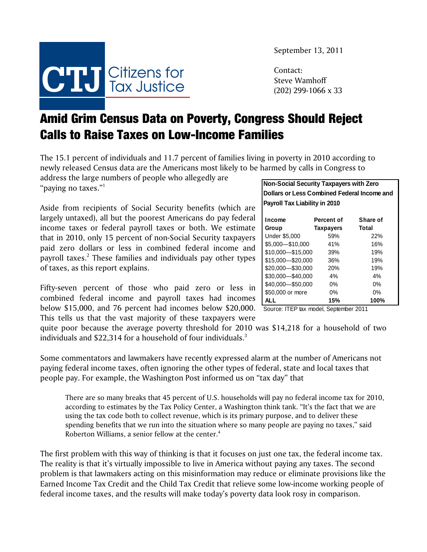

September 13, 2011

Contact: Steve Wamhoff (202) 299-1066 x 33

## Amid Grim Census Data on Poverty, Congress Should Reject Calls to Raise Taxes on Low-Income Families

The 15.1 percent of individuals and 11.7 percent of families living in poverty in 2010 according to newly released Census data are the Americans most likely to be harmed by calls in Congress to

address the large numbers of people who allegedly are "paying no taxes."1

Aside from recipients of Social Security benefits (which are largely untaxed), all but the poorest Americans do pay federal income taxes or federal payroll taxes or both. We estimate that in 2010, only 15 percent of non-Social Security taxpayers paid zero dollars or less in combined federal income and payroll taxes.<sup>2</sup> These families and individuals pay other types of taxes, as this report explains.

Fifty-seven percent of those who paid zero or less in combined federal income and payroll taxes had incomes below \$15,000, and 76 percent had incomes below \$20,000.

This tells us that the vast majority of these taxpayers were

quite poor because the average poverty threshold for 2010 was \$14,218 for a household of two individuals and \$22,314 for a household of four individuals.<sup>3</sup>

Some commentators and lawmakers have recently expressed alarm at the number of Americans not paying federal income taxes, often ignoring the other types of federal, state and local taxes that people pay. For example, the Washington Post informed us on "tax day" that

There are so many breaks that 45 percent of U.S. households will pay no federal income tax for 2010, according to estimates by the Tax Policy Center, a Washington think tank. "It's the fact that we are using the tax code both to collect revenue, which is its primary purpose, and to deliver these spending benefits that we run into the situation where so many people are paying no taxes," said Roberton Williams, a senior fellow at the center. $4$ 

The first problem with this way of thinking is that it focuses on just one tax, the federal income tax. The reality is that it's virtually impossible to live in America without paying any taxes. The second problem is that lawmakers acting on this misinformation may reduce or eliminate provisions like the Earned Income Tax Credit and the Child Tax Credit that relieve some low-income working people of federal income taxes, and the results will make today's poverty data look rosy in comparison.

| Non-Social Security Taxpayers with Zero     |
|---------------------------------------------|
| Dollars or Less Combined Federal Income and |
| Payroll Tax Liability in 2010               |

| Income            | Percent of       | Share of |
|-------------------|------------------|----------|
| Group             | <b>Taxpayers</b> | Total    |
| Under \$5,000     | 59%              | 22%      |
| \$5,000-\$10,000  | 41%              | 16%      |
| \$10,000-\$15,000 | 39%              | 19%      |
| \$15,000-\$20,000 | 36%              | 19%      |
| \$20,000-\$30,000 | 20%              | 19%      |
| \$30,000-\$40,000 | 4%               | 4%       |
| \$40,000-\$50,000 | 0%               | $0\%$    |
| \$50,000 or more  | 0%               | $0\%$    |
|                   | 15%              | 100%     |

Source: ITEP tax model, September 2011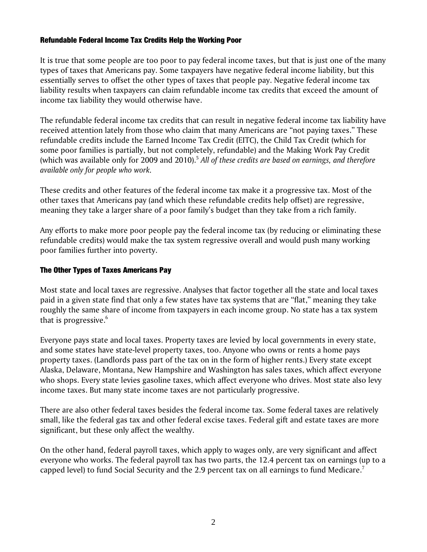## Refundable Federal Income Tax Credits Help the Working Poor

It is true that some people are too poor to pay federal income taxes, but that is just one of the many types of taxes that Americans pay. Some taxpayers have negative federal income liability, but this essentially serves to offset the other types of taxes that people pay. Negative federal income tax liability results when taxpayers can claim refundable income tax credits that exceed the amount of income tax liability they would otherwise have.

The refundable federal income tax credits that can result in negative federal income tax liability have received attention lately from those who claim that many Americans are "not paying taxes." These refundable credits include the Earned Income Tax Credit (EITC), the Child Tax Credit (which for some poor families is partially, but not completely, refundable) and the Making Work Pay Credit (which was available only for 2009 and 2010).<sup>5</sup> *All of these credits are based on earnings, and therefore available only for people who work.* 

These credits and other features of the federal income tax make it a progressive tax. Most of the other taxes that Americans pay (and which these refundable credits help offset) are regressive, meaning they take a larger share of a poor family's budget than they take from a rich family.

Any efforts to make more poor people pay the federal income tax (by reducing or eliminating these refundable credits) would make the tax system regressive overall and would push many working poor families further into poverty.

## The Other Types of Taxes Americans Pay

Most state and local taxes are regressive. Analyses that factor together all the state and local taxes paid in a given state find that only a few states have tax systems that are "flat," meaning they take roughly the same share of income from taxpayers in each income group. No state has a tax system that is progressive.<sup>6</sup>

Everyone pays state and local taxes. Property taxes are levied by local governments in every state, and some states have state-level property taxes, too. Anyone who owns or rents a home pays property taxes. (Landlords pass part of the tax on in the form of higher rents.) Every state except Alaska, Delaware, Montana, New Hampshire and Washington has sales taxes, which affect everyone who shops. Every state levies gasoline taxes, which affect everyone who drives. Most state also levy income taxes. But many state income taxes are not particularly progressive.

There are also other federal taxes besides the federal income tax. Some federal taxes are relatively small, like the federal gas tax and other federal excise taxes. Federal gift and estate taxes are more significant, but these only affect the wealthy.

On the other hand, federal payroll taxes, which apply to wages only, are very significant and affect everyone who works. The federal payroll tax has two parts, the 12.4 percent tax on earnings (up to a capped level) to fund Social Security and the 2.9 percent tax on all earnings to fund Medicare.<sup>7</sup>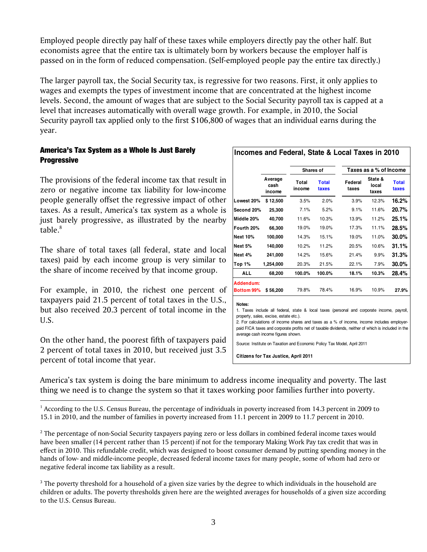Employed people directly pay half of these taxes while employers directly pay the other half. But economists agree that the entire tax is ultimately born by workers because the employer half is passed on in the form of reduced compensation. (Self-employed people pay the entire tax directly.)

The larger payroll tax, the Social Security tax, is regressive for two reasons. First, it only applies to wages and exempts the types of investment income that are concentrated at the highest income levels. Second, the amount of wages that are subject to the Social Security payroll tax is capped at a level that increases automatically with overall wage growth. For example, in 2010, the Social Security payroll tax applied only to the first \$106,800 of wages that an individual earns during the year.

## America's Tax System as a Whole Is Just Barely **Progressive**

The provisions of the federal income tax that result in zero or negative income tax liability for low-income people generally offset the regressive impact of other taxes. As a result, America's tax system as a whole is just barely progressive, as illustrated by the nearby table. $8$ 

The share of total taxes (all federal, state and local taxes) paid by each income group is very similar to the share of income received by that income group.

For example, in 2010, the richest one percent of taxpayers paid 21.5 percent of total taxes in the U.S., but also received 20.3 percent of total income in the U.S.

On the other hand, the poorest fifth of taxpayers paid 2 percent of total taxes in 2010, but received just 3.5 percent of total income that year.

 $\overline{a}$ 

|                 |                           | <b>Shares of</b> |                       | Taxes as a % of Income |                           |                       |
|-----------------|---------------------------|------------------|-----------------------|------------------------|---------------------------|-----------------------|
|                 | Average<br>cash<br>income | Total<br>income  | <b>Total</b><br>taxes | Federal<br>taxes       | State &<br>local<br>taxes | <b>Total</b><br>taxes |
| Lowest 20%      | \$12,500                  | 3.5%             | 2.0%                  | 3.9%                   | 12.3%                     | 16.2%                 |
| Second 20%      | 25,300                    | 7.1%             | 5.2%                  | 9.1%                   | 11.6%                     | 20.7%                 |
| Middle 20%      | 40,700                    | 11.6%            | 10.3%                 | 13.9%                  | 11.2%                     | 25.1%                 |
| Fourth 20%      | 66,300                    | 19.0%            | 19.0%                 | 17.3%                  | 11.1%                     | 28.5%                 |
| <b>Next 10%</b> | 100,000                   | 14.3%            | 15.1%                 | 19.0%                  | 11.0%                     | 30.0%                 |
| Next 5%         | 140,000                   | 10.2%            | 11.2%                 | 20.5%                  | 10.6%                     | 31.1%                 |
| Next 4%         | 241,000                   | 14.2%            | 15.6%                 | 21.4%                  | $9.9\%$                   | 31.3%                 |
| Top 1%          | 1,254,000                 | 20.3%            | 21.5%                 | 22.1%                  | 7.9%                      | 30.0%                 |
| ALL             | 68,200                    | 100.0%           | 100.0%                | 18.1%                  | 10.3%                     | 28.4%                 |
| Addendum:       |                           |                  |                       |                        |                           |                       |
| Bottom 99%      | \$56,200                  | 79.8%            | 78.4%                 | 16.9%                  | 10.9%                     | 27.9%                 |

**Incomes and Federal, State & Local Taxes in 2010**

property, sales, excise, estate etc.). 2. For calculations of income shares and taxes as a % of income, income includes employerpaid FICA taxes and corporate profits net of taxable dividends, neither of which is included in the

Source: Institute on Taxation and Economic Policy Tax Model, April 2011

**Citizens for Tax Justice, April 2011**

average cash income figures shown.

America's tax system is doing the bare minimum to address income inequality and poverty. The last thing we need is to change the system so that it taxes working poor families further into poverty.

<sup>&</sup>lt;sup>1</sup> According to the U.S. Census Bureau, the percentage of individuals in poverty increased from 14.3 percent in 2009 to 15.1 in 2010, and the number of families in poverty increased from 11.1 percent in 2009 to 11.7 percent in 2010.

 $2$  The percentage of non-Social Security taxpayers paying zero or less dollars in combined federal income taxes would have been smaller (14 percent rather than 15 percent) if not for the temporary Making Work Pay tax credit that was in effect in 2010. This refundable credit, which was designed to boost consumer demand by putting spending money in the hands of low- and middle-income people, decreased federal income taxes for many people, some of whom had zero or negative federal income tax liability as a result.

 $3$  The poverty threshold for a household of a given size varies by the degree to which individuals in the household are children or adults. The poverty thresholds given here are the weighted averages for households of a given size according to the U.S. Census Bureau.